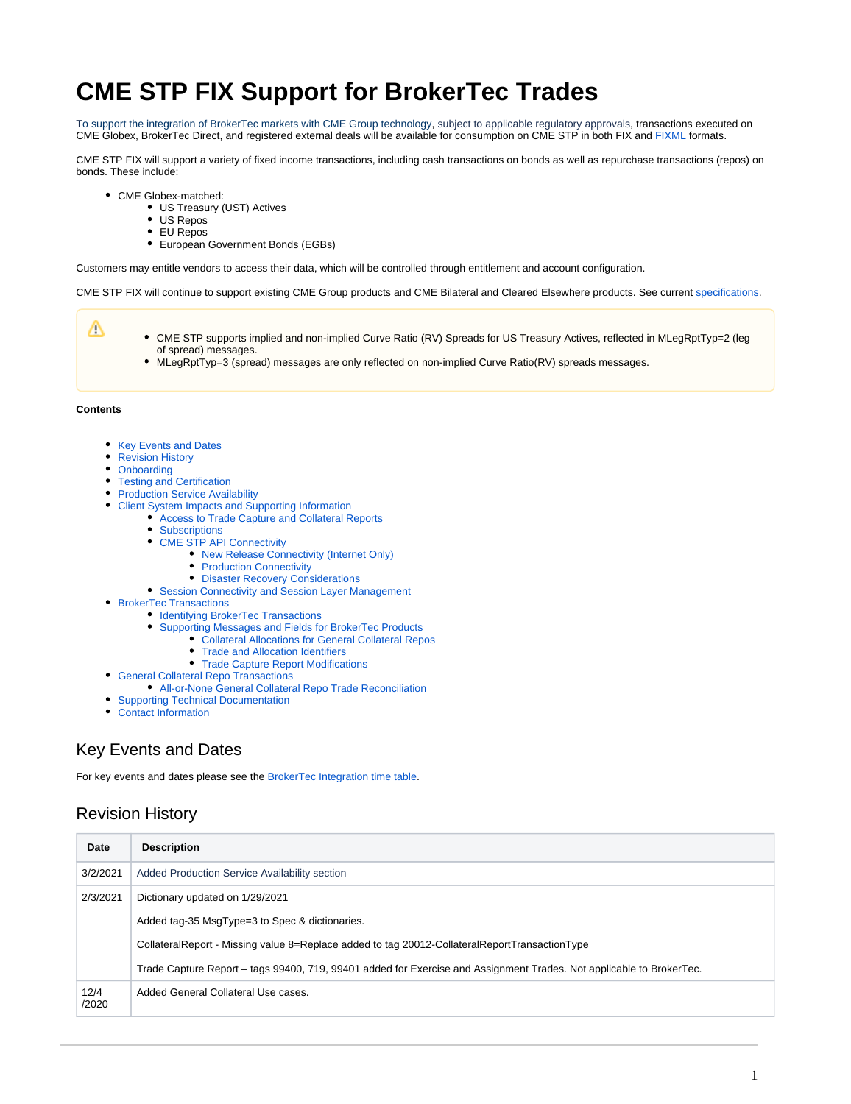# **CME STP FIX Support for BrokerTec Trades**

To support the integration of BrokerTec markets with CME Group technology, subject to applicable regulatory approvals, transactions executed on CME Globex, BrokerTec Direct, and registered external deals will be available for consumption on CME STP in both FIX and [FIXML](https://www.cmegroup.com/confluence/display/EPICSANDBOX/CME+STP+-+FIXML+Message+Specification) formats.

CME STP FIX will support a variety of fixed income transactions, including cash transactions on bonds as well as repurchase transactions (repos) on bonds. These include:

- CME Globex-matched:
	- US Treasury (UST) Actives
	- US Repos
	- EU Repos
	- European Government Bonds (EGBs)

Customers may entitle vendors to access their data, which will be controlled through entitlement and account configuration.

CME STP FIX will continue to support existing CME Group products and CME Bilateral and Cleared Elsewhere products. See current [specifications](https://www.cmegroup.com/confluence/display/EPICSANDBOX/CME+STP+FIX).

CME STP supports implied and non-implied Curve Ratio (RV) Spreads for US Treasury Actives, reflected in MLegRptTyp=2 (leg of spread) messages.

MLegRptTyp=3 (spread) messages are only reflected on non-implied Curve Ratio(RV) spreads messages.

#### **Contents**

Δ

- [Key Events and Dates](#page-0-0)
- [Revision History](#page-0-1)
- [Onboarding](#page-2-0)
- [Testing and Certification](#page-2-1)
- [Production Service Availability](#page-2-2)
- [Client System Impacts and Supporting Information](#page-2-3)
	- [Access to Trade Capture and Collateral Reports](#page-2-4)
		- [Subscriptions](#page-2-5)
		- [CME STP API Connectivity](#page-3-0)
			- [New Release Connectivity \(Internet Only\)](#page-3-1)
			- [Production Connectivity](#page-3-2)
			- [Disaster Recovery Considerations](#page-3-3)
		- [Session Connectivity and Session Layer Management](#page-3-4)
- [BrokerTec Transactions](#page-3-5)
	- **[Identifying BrokerTec Transactions](#page-4-0)** 
		- [Supporting Messages and Fields for BrokerTec Products](#page-4-1)
			- [Collateral Allocations for General Collateral Repos](#page-4-2)
			- [Trade and Allocation Identifiers](#page-4-3)
			- [Trade Capture Report Modifications](#page-4-4)
	- [General Collateral Repo Transactions](#page-4-5)
	- [All-or-None General Collateral Repo Trade Reconciliation](#page-5-0)
- [Supporting Technical Documentation](#page-5-1)
- $\bullet$ [Contact Information](#page-5-2)

# <span id="page-0-0"></span>Key Events and Dates

For key events and dates please see the [BrokerTec Integration time table](https://support.brokertec.com/Repository/omnet-api/integrationofbrokertecontocmeglobex).

## <span id="page-0-1"></span>Revision History

| Date          | <b>Description</b>                                                                                                   |
|---------------|----------------------------------------------------------------------------------------------------------------------|
| 3/2/2021      | Added Production Service Availability section                                                                        |
| 2/3/2021      | Dictionary updated on 1/29/2021                                                                                      |
|               | Added tag-35 MsgType=3 to Spec & dictionaries.                                                                       |
|               | CollateralReport - Missing value 8=Replace added to tag 20012-CollateralReportTransactionType                        |
|               | Trade Capture Report – tags 99400, 719, 99401 added for Exercise and Assignment Trades. Not applicable to BrokerTec. |
| 12/4<br>/2020 | Added General Collateral Use cases.                                                                                  |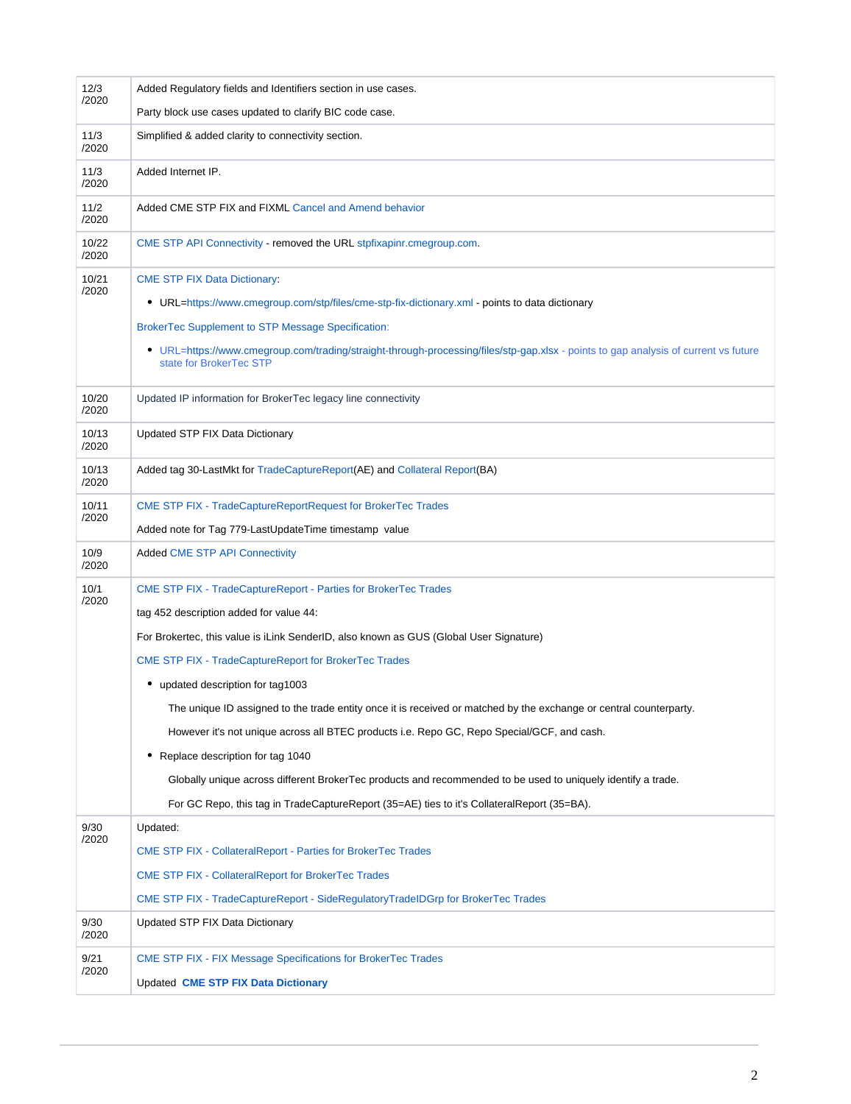| 12/3<br>/2020  | Added Regulatory fields and Identifiers section in use cases.                                                                                                     |  |  |
|----------------|-------------------------------------------------------------------------------------------------------------------------------------------------------------------|--|--|
|                | Party block use cases updated to clarify BIC code case.                                                                                                           |  |  |
| 11/3<br>/2020  | Simplified & added clarity to connectivity section.                                                                                                               |  |  |
| 11/3<br>/2020  | Added Internet IP.                                                                                                                                                |  |  |
| 11/2<br>/2020  | Added CME STP FIX and FIXML Cancel and Amend behavior                                                                                                             |  |  |
| 10/22<br>/2020 | CME STP API Connectivity - removed the URL stpfixapinr.cmegroup.com.                                                                                              |  |  |
| 10/21<br>/2020 | <b>CME STP FIX Data Dictionary:</b>                                                                                                                               |  |  |
|                | • URL=https://www.cmegroup.com/stp/files/cme-stp-fix-dictionary.xml - points to data dictionary                                                                   |  |  |
|                | <b>BrokerTec Supplement to STP Message Specification:</b>                                                                                                         |  |  |
|                | URL=https://www.cmegroup.com/trading/straight-through-processing/files/stp-gap.xlsx - points to gap analysis of current vs future<br>٠<br>state for BrokerTec STP |  |  |
| 10/20<br>/2020 | Updated IP information for BrokerTec legacy line connectivity                                                                                                     |  |  |
| 10/13<br>/2020 | Updated STP FIX Data Dictionary                                                                                                                                   |  |  |
| 10/13<br>/2020 | Added tag 30-LastMkt for TradeCaptureReport(AE) and Collateral Report(BA)                                                                                         |  |  |
| 10/11          | <b>CME STP FIX - TradeCaptureReportRequest for BrokerTec Trades</b>                                                                                               |  |  |
| /2020          | Added note for Tag 779-LastUpdateTime timestamp value                                                                                                             |  |  |
| 10/9<br>/2020  | <b>Added CME STP API Connectivity</b>                                                                                                                             |  |  |
| 10/1<br>/2020  | CME STP FIX - TradeCaptureReport - Parties for BrokerTec Trades                                                                                                   |  |  |
|                | tag 452 description added for value 44:                                                                                                                           |  |  |
|                | For Brokertec, this value is iLink SenderID, also known as GUS (Global User Signature)                                                                            |  |  |
|                | <b>CME STP FIX - TradeCaptureReport for BrokerTec Trades</b>                                                                                                      |  |  |
|                | • updated description for tag1003                                                                                                                                 |  |  |
|                | The unique ID assigned to the trade entity once it is received or matched by the exchange or central counterparty.                                                |  |  |
|                | However it's not unique across all BTEC products i.e. Repo GC, Repo Special/GCF, and cash.                                                                        |  |  |
|                | Replace description for tag 1040<br>٠                                                                                                                             |  |  |
|                | Globally unique across different BrokerTec products and recommended to be used to uniquely identify a trade.                                                      |  |  |
|                | For GC Repo, this tag in TradeCaptureReport (35=AE) ties to it's CollateralReport (35=BA).                                                                        |  |  |
| 9/30<br>/2020  | Updated:                                                                                                                                                          |  |  |
|                | <b>CME STP FIX - Collateral Report - Parties for Broker Tec Trades</b>                                                                                            |  |  |
|                | <b>CME STP FIX - CollateralReport for BrokerTec Trades</b>                                                                                                        |  |  |
|                | CME STP FIX - TradeCaptureReport - SideRegulatoryTradeIDGrp for BrokerTec Trades                                                                                  |  |  |
| 9/30<br>/2020  | Updated STP FIX Data Dictionary                                                                                                                                   |  |  |
| 9/21<br>/2020  | <b>CME STP FIX - FIX Message Specifications for BrokerTec Trades</b>                                                                                              |  |  |
|                | <b>Updated CME STP FIX Data Dictionary</b>                                                                                                                        |  |  |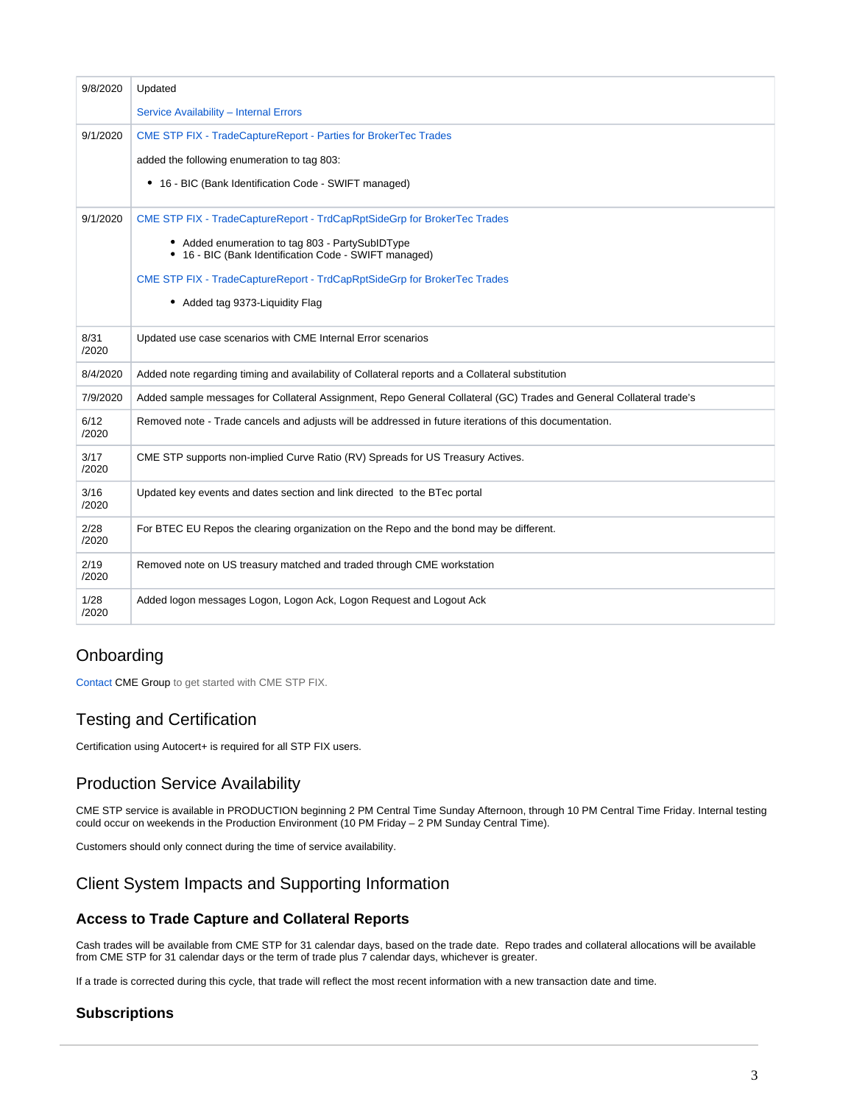| 9/8/2020      | Updated                                                                                                             |
|---------------|---------------------------------------------------------------------------------------------------------------------|
|               | Service Availability - Internal Errors                                                                              |
| 9/1/2020      | <b>CME STP FIX - TradeCaptureReport - Parties for BrokerTec Trades</b>                                              |
|               | added the following enumeration to tag 803:                                                                         |
|               | • 16 - BIC (Bank Identification Code - SWIFT managed)                                                               |
| 9/1/2020      | CME STP FIX - TradeCaptureReport - TrdCapRptSideGrp for BrokerTec Trades                                            |
|               | • Added enumeration to tag 803 - PartySubIDType<br>• 16 - BIC (Bank Identification Code - SWIFT managed)            |
|               | CME STP FIX - TradeCaptureReport - TrdCapRptSideGrp for BrokerTec Trades                                            |
|               | • Added tag 9373-Liquidity Flag                                                                                     |
| 8/31<br>/2020 | Updated use case scenarios with CME Internal Error scenarios                                                        |
| 8/4/2020      | Added note regarding timing and availability of Collateral reports and a Collateral substitution                    |
| 7/9/2020      | Added sample messages for Collateral Assignment, Repo General Collateral (GC) Trades and General Collateral trade's |
| 6/12<br>/2020 | Removed note - Trade cancels and adjusts will be addressed in future iterations of this documentation.              |
| 3/17<br>/2020 | CME STP supports non-implied Curve Ratio (RV) Spreads for US Treasury Actives.                                      |
| 3/16<br>/2020 | Updated key events and dates section and link directed to the BTec portal                                           |
| 2/28<br>/2020 | For BTEC EU Repos the clearing organization on the Repo and the bond may be different.                              |
| 2/19<br>/2020 | Removed note on US treasury matched and traded through CME workstation                                              |
| 1/28<br>/2020 | Added logon messages Logon, Logon Ack, Logon Request and Logout Ack                                                 |

# <span id="page-2-0"></span>**Onboarding**

[Contact](https://www.cmegroup.com/confluence/display/EPICSANDBOX/Contact+Information#ContactInformation-CMESTPOnboardingandGeneralInformation) CME Group to get started with CME STP FIX.

# <span id="page-2-1"></span>Testing and Certification

Certification using Autocert+ is required for all STP FIX users.

# <span id="page-2-2"></span>Production Service Availability

CME STP service is available in PRODUCTION beginning 2 PM Central Time Sunday Afternoon, through 10 PM Central Time Friday. Internal testing could occur on weekends in the Production Environment (10 PM Friday – 2 PM Sunday Central Time).

Customers should only connect during the time of service availability.

# <span id="page-2-3"></span>Client System Impacts and Supporting Information

### <span id="page-2-4"></span>**Access to Trade Capture and Collateral Reports**

Cash trades will be available from CME STP for 31 calendar days, based on the trade date. Repo trades and collateral allocations will be available from CME STP for 31 calendar days or the term of trade plus 7 calendar days, whichever is greater.

If a trade is corrected during this cycle, that trade will reflect the most recent information with a new transaction date and time.

### <span id="page-2-5"></span>**Subscriptions**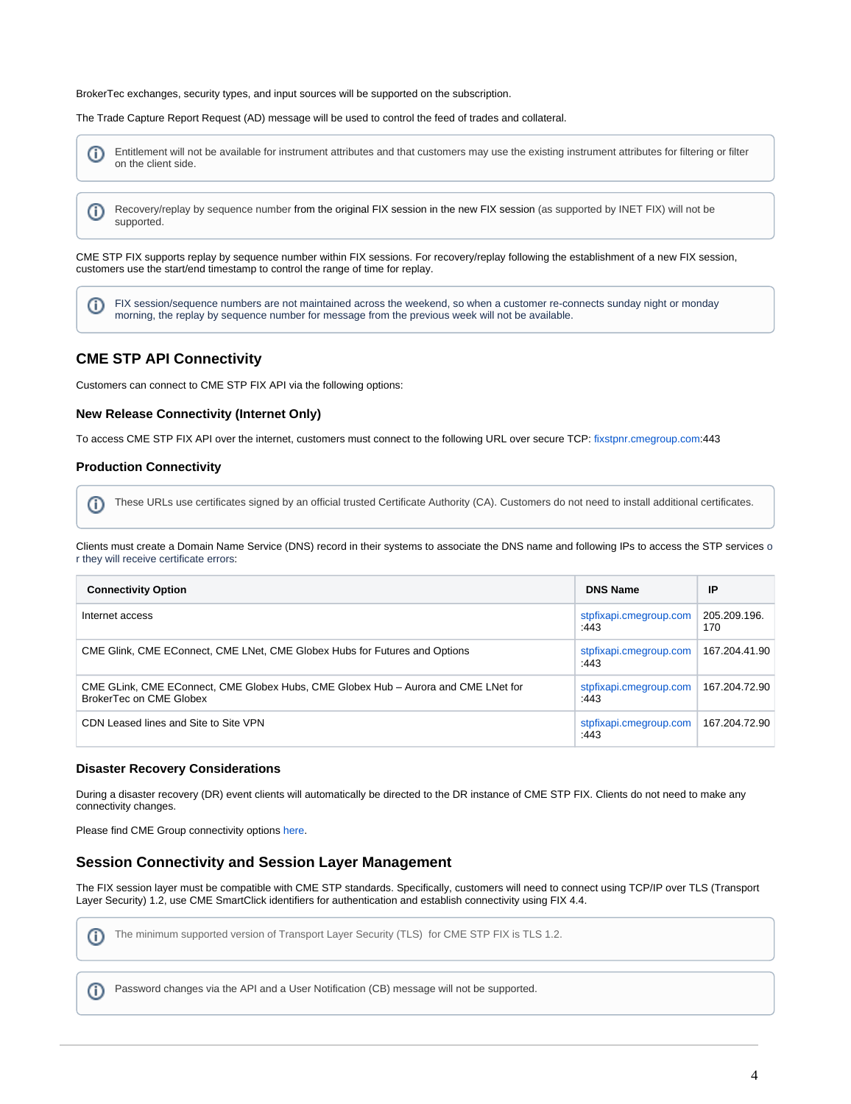BrokerTec exchanges, security types, and input sources will be supported on the subscription.

The Trade Capture Report Request (AD) message will be used to control the feed of trades and collateral.



CME STP FIX supports replay by sequence number within FIX sessions. For recovery/replay following the establishment of a new FIX session, customers use the start/end timestamp to control the range of time for replay.

FIX session/sequence numbers are not maintained across the weekend, so when a customer re-connects sunday night or monday O) morning, the replay by sequence number for message from the previous week will not be available.

### <span id="page-3-0"></span>**CME STP API Connectivity**

Customers can connect to CME STP FIX API via the following options:

### <span id="page-3-1"></span>**New Release Connectivity (Internet Only)**

To access CME STP FIX API over the internet, customers must connect to the following URL over secure TCP: [fixstpnr.cmegroup.com](http://fixstpnr.cmegroup.com/):443

### <span id="page-3-2"></span>**Production Connectivity**

These URLs use certificates signed by an official trusted Certificate Authority (CA). Customers do not need to install additional certificates. O)

Clients must create a Domain Name Service (DNS) record in their systems to associate the DNS name and following IPs to access the STP services o r they will receive certificate errors:

| <b>Connectivity Option</b>                                                                                    | <b>DNS Name</b>                | IP                  |
|---------------------------------------------------------------------------------------------------------------|--------------------------------|---------------------|
| Internet access                                                                                               | stpfixapi.cmegroup.com<br>:443 | 205.209.196.<br>170 |
| CME Glink, CME EConnect, CME LNet, CME Globex Hubs for Futures and Options                                    | stpfixapi.cmegroup.com<br>:443 | 167.204.41.90       |
| CME GLink, CME EConnect, CME Globex Hubs, CME Globex Hub - Aurora and CME LNet for<br>BrokerTec on CME Globex | stpfixapi.cmegroup.com<br>:443 | 167.204.72.90       |
| CDN Leased lines and Site to Site VPN                                                                         | stpfixapi.cmegroup.com<br>:443 | 167.204.72.90       |

### <span id="page-3-3"></span>**Disaster Recovery Considerations**

During a disaster recovery (DR) event clients will automatically be directed to the DR instance of CME STP FIX. Clients do not need to make any connectivity changes.

Please find CME Group connectivity options [here.](https://www.cmegroup.com/globex/connectivity-options.html)

### <span id="page-3-4"></span>**Session Connectivity and Session Layer Management**

The FIX session layer must be compatible with CME STP standards. Specifically, customers will need to connect using TCP/IP over TLS (Transport Layer Security) 1.2, use CME SmartClick identifiers for authentication and establish connectivity using FIX 4.4.



The minimum supported version of Transport Layer Security (TLS) for CME STP FIX is TLS 1.2.

<span id="page-3-5"></span>Password changes via the API and a User Notification (CB) message will not be supported.൘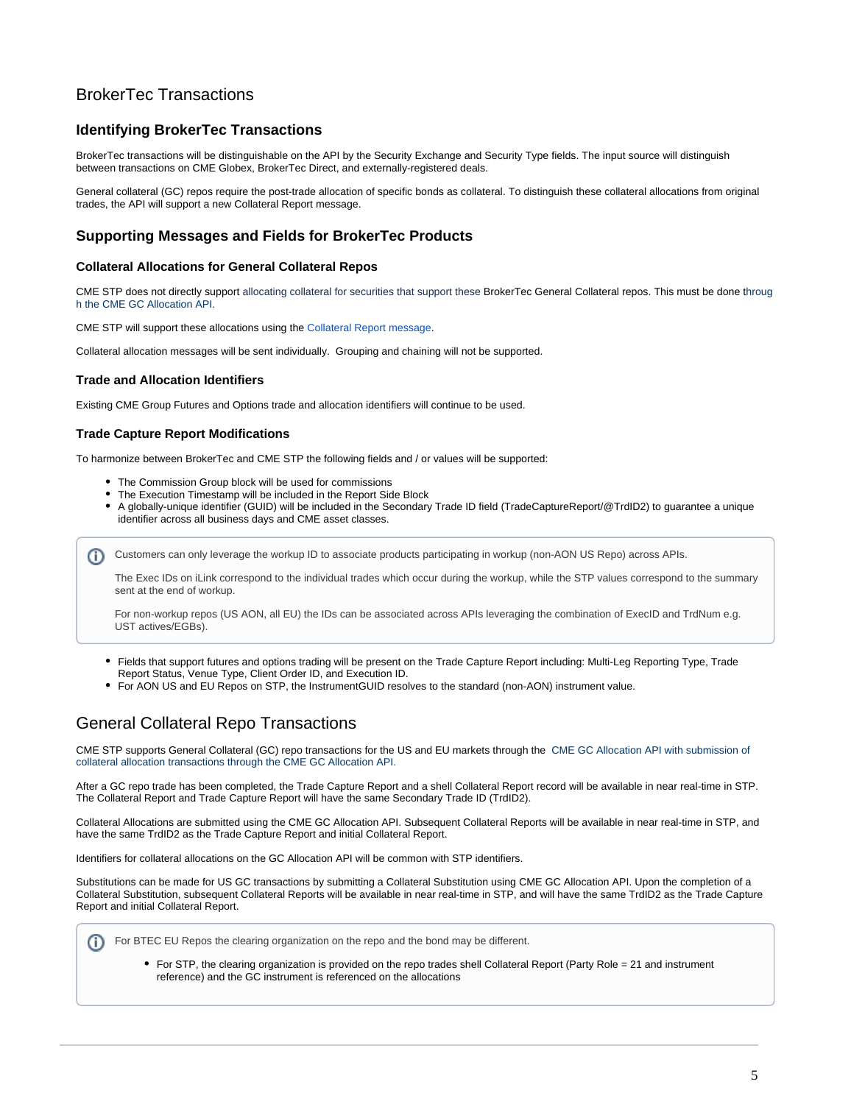

# BrokerTec Transactions

### <span id="page-4-0"></span>**Identifying BrokerTec Transactions**

BrokerTec transactions will be distinguishable on the API by the Security Exchange and Security Type fields. The input source will distinguish between transactions on CME Globex, BrokerTec Direct, and externally-registered deals.

General collateral (GC) repos require the post-trade allocation of specific bonds as collateral. To distinguish these collateral allocations from original trades, the API will support a new Collateral Report message.

### <span id="page-4-1"></span>**Supporting Messages and Fields for BrokerTec Products**

#### <span id="page-4-2"></span>**Collateral Allocations for General Collateral Repos**

CME STP does not directly support allocating collateral for securities that support these BrokerTec General Collateral repos. This must be done throug h the CME GC Allocation API.

CME STP will support these allocations using the [Collateral Report message.](https://www.cmegroup.com/confluence/display/EPICSANDBOX/CME+STP+FIX+-+CollateralReport+for+BrokerTec+Trades)

Collateral allocation messages will be sent individually. Grouping and chaining will not be supported.

#### <span id="page-4-3"></span>**Trade and Allocation Identifiers**

Existing CME Group Futures and Options trade and allocation identifiers will continue to be used.

#### <span id="page-4-4"></span>**Trade Capture Report Modifications**

To harmonize between BrokerTec and CME STP the following fields and / or values will be supported:

- The Commission Group block will be used for commissions
- The Execution Timestamp will be included in the Report Side Block
- A globally-unique identifier (GUID) will be included in the Secondary Trade ID field (TradeCaptureReport/@TrdID2) to guarantee a unique identifier across all business days and CME asset classes.

Customers can only leverage the workup ID to associate products participating in workup (non-AON US Repo) across APIs. G)

The Exec IDs on iLink correspond to the individual trades which occur during the workup, while the STP values correspond to the summary sent at the end of workup.

For non-workup repos (US AON, all EU) the IDs can be associated across APIs leveraging the combination of ExecID and TrdNum e.g. UST actives/EGBs).

- Fields that support futures and options trading will be present on the Trade Capture Report including: Multi-Leg Reporting Type, Trade Report Status, Venue Type, Client Order ID, and Execution ID.
- For AON US and EU Repos on STP, the InstrumentGUID resolves to the standard (non-AON) instrument value.

## <span id="page-4-5"></span>General Collateral Repo Transactions

CME STP supports General Collateral (GC) repo transactions for the US and EU markets through the CME GC Allocation API with submission of collateral allocation transactions through the CME GC Allocation API.

After a GC repo trade has been completed, the Trade Capture Report and a shell Collateral Report record will be available in near real-time in STP. The Collateral Report and Trade Capture Report will have the same Secondary Trade ID (TrdID2).

Collateral Allocations are submitted using the CME GC Allocation API. Subsequent Collateral Reports will be available in near real-time in STP, and have the same TrdID2 as the Trade Capture Report and initial Collateral Report.

Identifiers for collateral allocations on the GC Allocation API will be common with STP identifiers.

Substitutions can be made for US GC transactions by submitting a Collateral Substitution using CME GC Allocation API. Upon the completion of a Collateral Substitution, subsequent Collateral Reports will be available in near real-time in STP, and will have the same TrdID2 as the Trade Capture Report and initial Collateral Report.



• For STP, the clearing organization is provided on the repo trades shell Collateral Report (Party Role = 21 and instrument reference) and the GC instrument is referenced on the allocations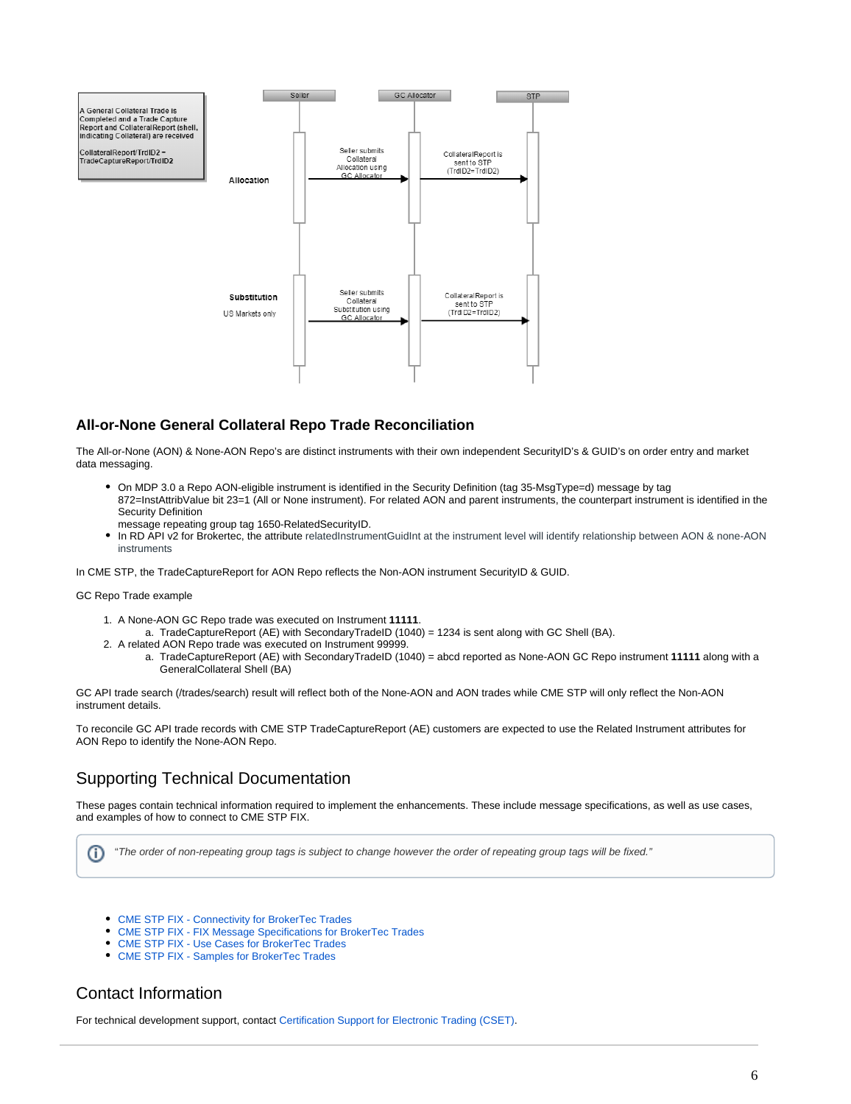

### <span id="page-5-0"></span>**All-or-None General Collateral Repo Trade Reconciliation**

The All-or-None (AON) & None-AON Repo's are distinct instruments with their own independent SecurityID's & GUID's on order entry and market data messaging.

- On MDP 3.0 a Repo AON-eligible instrument is identified in the Security Definition (tag 35-MsgType=d) message by tag 872=InstAttribValue bit 23=1 (All or None instrument). For related AON and parent instruments, the counterpart instrument is identified in the Security Definition
- message repeating group tag 1650-RelatedSecurityID.
- In RD API v2 for Brokertec, the attribute relatedInstrumentGuidInt at the instrument level will identify relationship between AON & none-AON instruments

In CME STP, the TradeCaptureReport for AON Repo reflects the Non-AON instrument SecurityID & GUID.

#### GC Repo Trade example

- 1. A None-AON GC Repo trade was executed on Instrument **11111**.
	- a. TradeCaptureReport (AE) with SecondaryTradeID (1040) = 1234 is sent along with GC Shell (BA).
- 2. A related AON Repo trade was executed on Instrument 99999.
	- a. TradeCaptureReport (AE) with SecondaryTradeID (1040) = abcd reported as None-AON GC Repo instrument **11111** along with a GeneralCollateral Shell (BA)

GC API trade search (/trades/search) result will reflect both of the None-AON and AON trades while CME STP will only reflect the Non-AON instrument details.

To reconcile GC API trade records with CME STP TradeCaptureReport (AE) customers are expected to use the Related Instrument attributes for AON Repo to identify the None-AON Repo.

# <span id="page-5-1"></span>Supporting Technical Documentation

These pages contain technical information required to implement the enhancements. These include message specifications, as well as use cases, and examples of how to connect to CME STP FIX.

"The order of non-repeating group tags is subject to change however the order of repeating group tags will be fixed."O)

- [CME STP FIX Connectivity for BrokerTec Trades](https://www.cmegroup.com/confluence/display/EPICSANDBOX/CME+STP+FIX+-+Connectivity+for+BrokerTec+Trades)
- [CME STP FIX FIX Message Specifications for BrokerTec Trades](https://www.cmegroup.com/confluence/display/EPICSANDBOX/CME+STP+FIX+-+FIX+Message+Specifications+for+BrokerTec+Trades)
- [CME STP FIX Use Cases for BrokerTec Trades](https://www.cmegroup.com/confluence/display/EPICSANDBOX/CME+STP+FIX+-+Use+Cases+for+BrokerTec+Trades)
- [CME STP FIX Samples for BrokerTec Trades](https://www.cmegroup.com/confluence/display/EPICSANDBOX/CME+STP+FIX+-+Samples+for+BrokerTec+Trades)

## <span id="page-5-2"></span>Contact Information

For technical development support, contact [Certification Support for Electronic Trading \(CSET\)](https://www.cmegroup.com/confluence/display/EPICSANDBOX/Contact+Information#ContactInformation-CertificationSupportforElectronicTrading(CSET)).